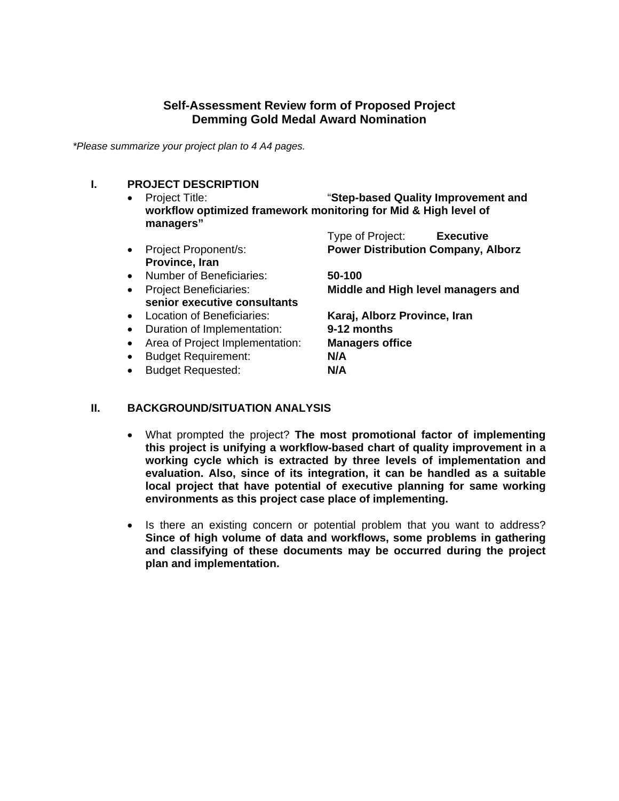## **Self-Assessment Review form of Proposed Project Demming Gold Medal Award Nomination**

*\*Please summarize your project plan to 4 A4 pages.* 

## **I. PROJECT DESCRIPTION**

- Project Title: "**Step-based Quality Improvement and workflow optimized framework monitoring for Mid & High level of managers"**
	- Type of Project: **Executive**  Project Proponent/s: **Power Distribution Company, Alborz Province, Iran** Number of Beneficiaries: **50-100**
	- **senior executive consultants**
	-
	- Duration of Implementation: **9-12 months**
	- Area of Project Implementation: **Managers office**
	- Budget Requirement: **N/A**
	- Budget Requested: **N/A**

Project Beneficiaries: **Middle and High level managers and** 

Location of Beneficiaries: **Karaj, Alborz Province, Iran** 

### **II. BACKGROUND/SITUATION ANALYSIS**

- What prompted the project? **The most promotional factor of implementing this project is unifying a workflow-based chart of quality improvement in a working cycle which is extracted by three levels of implementation and evaluation. Also, since of its integration, it can be handled as a suitable local project that have potential of executive planning for same working environments as this project case place of implementing.**
- Is there an existing concern or potential problem that you want to address? **Since of high volume of data and workflows, some problems in gathering and classifying of these documents may be occurred during the project plan and implementation.**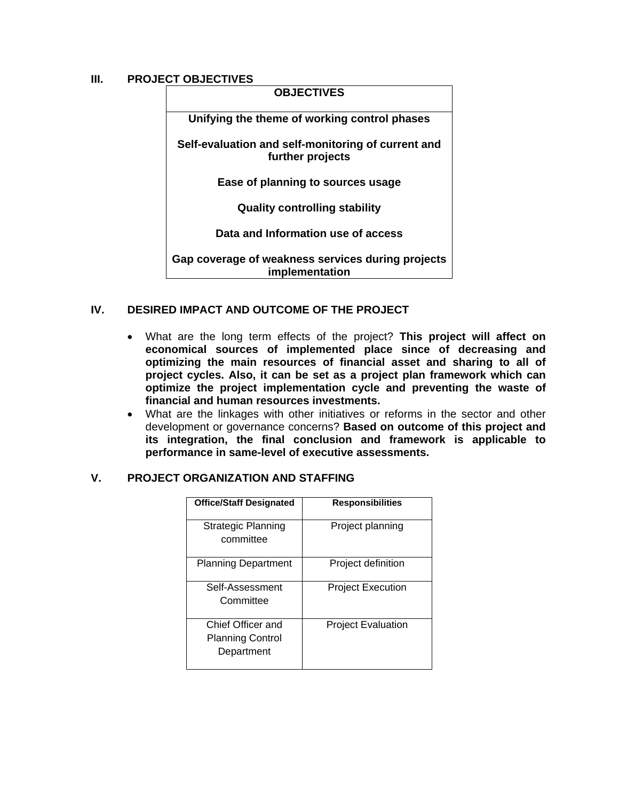# **III. PROJECT OBJECTIVES**

| -91 9996911769                                                         |                                                                     |  |
|------------------------------------------------------------------------|---------------------------------------------------------------------|--|
| <b>OBJECTIVES</b>                                                      |                                                                     |  |
| Unifying the theme of working control phases                           |                                                                     |  |
| Self-evaluation and self-monitoring of current and<br>further projects |                                                                     |  |
|                                                                        | Ease of planning to sources usage                                   |  |
| <b>Quality controlling stability</b>                                   |                                                                     |  |
| Data and Information use of access                                     |                                                                     |  |
|                                                                        | Gap coverage of weakness services during projects<br>implementation |  |

### **IV. DESIRED IMPACT AND OUTCOME OF THE PROJECT**

- What are the long term effects of the project? **This project will affect on economical sources of implemented place since of decreasing and optimizing the main resources of financial asset and sharing to all of project cycles. Also, it can be set as a project plan framework which can optimize the project implementation cycle and preventing the waste of financial and human resources investments.**
- What are the linkages with other initiatives or reforms in the sector and other development or governance concerns? **Based on outcome of this project and its integration, the final conclusion and framework is applicable to performance in same-level of executive assessments.**

### **V. PROJECT ORGANIZATION AND STAFFING**

| <b>Office/Staff Designated</b>                             | <b>Responsibilities</b>   |
|------------------------------------------------------------|---------------------------|
| <b>Strategic Planning</b><br>committee                     | Project planning          |
| <b>Planning Department</b>                                 | Project definition        |
| Self-Assessment<br>Committee                               | <b>Project Execution</b>  |
| Chief Officer and<br><b>Planning Control</b><br>Department | <b>Project Evaluation</b> |